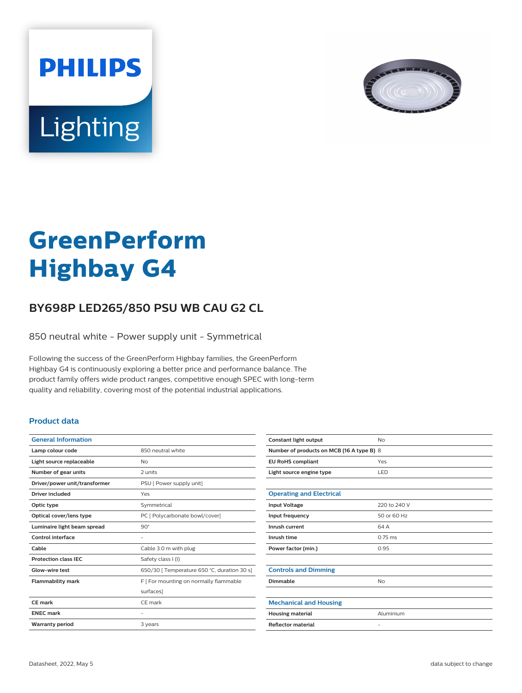



# **GreenPerform Highbay G4**

## **BY698P LED265/850 PSU WB CAU G2 CL**

850 neutral white - Power supply unit - Symmetrical

Following the success of the GreenPerform Highbay families, the GreenPerform Highbay G4 is continuously exploring a better price and performance balance. The product family offers wide product ranges, competitive enough SPEC with long-term quality and reliability, covering most of the potential industrial applications.

#### **Product data**

| <b>General Information</b>    |                                             |
|-------------------------------|---------------------------------------------|
| Lamp colour code              | 850 neutral white                           |
| Light source replaceable      | No                                          |
| Number of gear units          | 2 units                                     |
| Driver/power unit/transformer | PSU [ Power supply unit]                    |
| <b>Driver included</b>        | Yes                                         |
| Optic type                    | Symmetrical                                 |
| Optical cover/lens type       | PC [ Polycarbonate bowl/cover]              |
| Luminaire light beam spread   | $90^\circ$                                  |
| Control interface             |                                             |
| Cable                         | Cable 3.0 m with plug                       |
| <b>Protection class IEC</b>   | Safety class I (I)                          |
| Glow-wire test                | 650/30   Temperature 650 °C, duration 30 s] |
| <b>Flammability mark</b>      | F   For mounting on normally flammable      |
|                               | surfaces]                                   |
| CF mark                       | CF mark                                     |
| <b>ENEC mark</b>              |                                             |
| <b>Warranty period</b>        | 3 years                                     |
|                               |                                             |

| Constant light output                     | No                |  |
|-------------------------------------------|-------------------|--|
| Number of products on MCB (16 A type B) 8 |                   |  |
| <b>EU RoHS compliant</b>                  | Yes               |  |
| Light source engine type                  | LED               |  |
|                                           |                   |  |
| <b>Operating and Electrical</b>           |                   |  |
| <b>Input Voltage</b>                      | 220 to 240 V      |  |
| Input frequency                           | 50 or 60 Hz       |  |
| Inrush current                            | 64 A              |  |
| Inrush time                               | $0.75$ ms         |  |
| Power factor (min.)                       | 0.95              |  |
|                                           |                   |  |
| <b>Controls and Dimming</b>               |                   |  |
| Dimmable                                  | No                |  |
|                                           |                   |  |
| <b>Mechanical and Housing</b>             |                   |  |
| <b>Housing material</b>                   | Aluminium         |  |
| <b>Reflector material</b>                 | $\qquad \qquad -$ |  |
|                                           |                   |  |